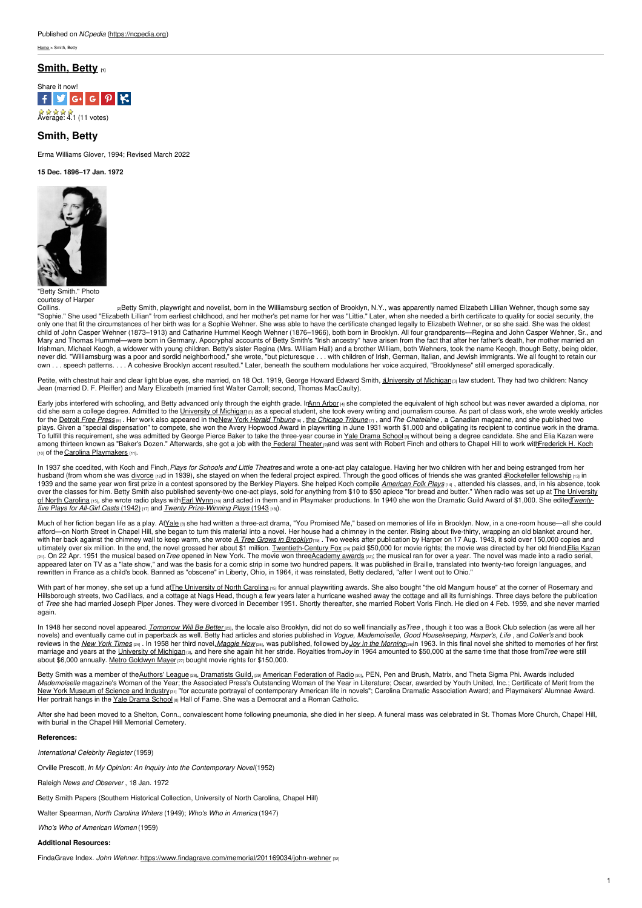ne > Smith, Betty

## **[Smith,](https://ncpedia.org/biography/smith-betty) Betty [1]**



# **Smith, Betty**

Erma Williams Glover, 1994; Revised March 2022

# **15 Dec. 1896–17 Jan. 1972**



"Betty Smith." Photo courtesy of Harper

petty Smith, playwright and novelist, born in the Williamsburg section of Brooklyn, N.Y., was apparently named Elizabeth Lillian Wehner, though some say اpolins.<br>"Sophie." She used "Elizabeth Lillian" from earliest childh only one that fit the circumstances of her birth was for a Sophie Wehner. She was able to have the certificate changed legally to Elizabeth Wehner, or so she said. She was the oldest child of John Casper Wehner (1873–1913) and Catharine Hummel Keogh Wehner (1876–1966), both born in Brooklyn. All four grandparents—Regina and John Casper Wehner, Sr., and Mary and Thomas Hummel—were born in Germany. Apocryphal accounts of Betty Smith's "Irish ancestry" have arisen from the fact that after her father's death, her mother married an<br>Irishman, Michael Keogh, a widower with youn never did. "Williamsburg was a poor and sordid neighborhood," she wrote, "but picturesque . . . with children of Irish, German, Italian, and Jewish immigrants. We all fought to retain our own . . . speech patterns. . . . A cohesive Brooklyn accent resulted." Later, beneath the southern modulations her voice acquired, "Brooklynese" still emerged sporadically.

Petite, with chestnut hair and clear light blue eyes, she married, on 18 Oct. 1919, George Howard Edward Smith, <u>aJniversity of Michigan</u> ആlaw student. They had two children: Nancy<br>Jean (married D. F. Pfeiffer) and Mary El

Early jobs interfered with schooling, and Betty advanced only through the eighth grade. Ir<u>Ann [Arbor](http://maps.google.com/maps?hl=en&client=firefox-a&hs=uJ5&rls=org.mozilla:en-US:official&bav=on.2,or.r_gc.r_pw.r_cp.r_qf.,cf.osb&biw=1920&bih=1028&q=Ann+Arbor&um=1&ie=UTF-8&hq=&hnear=0x883cb00dd4431f33:0xdb09f94686c8b5e2,Ann+Arbor,+MI&gl=us&ei=h4WaT7KVG4Sy8QT61eiJDw&sa=X&oi=geocode_result&ct=title&resnum=1&ved=0CDUQ8gEwAA)</u> ણ she completed the equivalent of high school but was never awarded a diploma, nor<br>did she earn a college degree. Admit for the [Detroit](http://www.freep.com/) Free Press [5] . Her work also appeared in the New York Herald [Tribune](http://www.nndb.com/newspaper/416/000048272/) [6], the [Chicago](http://www.chicagotribune.com/) Tribune [7], and The Chatelaine, a Canadian magazine, and she published two plays. Given a "special dispensation" to compete, she won the Avery Hopwood Award in playwriting in June 1931 worth \$1,000 and obligating its recipient to continue work in the drama.<br>To fulfill this requirement, she was ad among thirteen known as "Baker's Dozen." Afterwards, she got a job with the Federal [Theater](http://www.loc.gov/rr/program/bib/newdeal/ftp.html) mand was sent with Robert Finch and others to Chapel Hill to work wi[thFrederick](http://www.lib.unc.edu/mss/inv/k/Koch,Frederick_H.html) H. Koch [10] of the Carolina [Playmakers](http://www.playmakersrep.org/) [11]

In 1937 she coedited, with Koch and Finch,*Plays for Schools and Little Theatres* and wrote a one-act play catalogue. Having her two children with her and being estranged from her husband (from whom she was [divorce](https://ncpedia.org/divorce) [12]d in 1939), she stayed on when the federal project expired. Through the good offices of friends she was granted arockefeller fellowship [13] in 1939 and the same year won first prize in a contest sponsored by the Berkley Players. She helped Koch compile *[American](https://www.worldcat.org/title/american-folk-plays/oclc/01476586) Folk Plays* [14] , attended his classes, and, in his absence, took over the classes for him. Betty Smith also published seventy-two one-act plays, sold for anything from \$10 to \$50 apiece "for bread and butter." When radio was set up at The University of North Carolina [15], she wrote radio plays withEarl [Wynn](https://ncpedia.org/biography/wynn-earl-raymond) [16] and acted in them and in Playmaker [productions.](https://ncpedia.org/university-north-carolina-chapel-hi) In 1940 she won the Dramatic Guild Award of \$1,000. She edited*Twentyfive Plays for All-Girl Casts* (1942) [17] and *Twenty [Prize-Winning](https://www.worldcat.org/title/25-non-royalty-one-act-plays-for-all-girl-casts/oclc/419368) Plays* (1943 [18]).

Much of her fiction began life as a play. A[tYale](http://drama.yale.edu/) [8] she had written a three-act drama, "You Promised Me," based on memories of life in Brooklyn. Now, in a one-room house—all she could afford—on North Street in Chapel Hill, she began to turn this material into a novel. Her house had a chimney in the center. Rising about five-thirty, wrapping an old blanket around her, with her back against the chimney wall to keep warm, she wrote <u>A Tree Grows in [Brooklyn](https://www.worldcat.org/title/tree-grows-in-brooklyn-a-novel/oclc/250341)ners. T</u>wo weeks after publication by Harper on 17 Aug. 1943, it sold over 150,000 copies and<br>ultimately over six million. In the end [21]. On 22 Apr. 1951 the musical based on Tree opened in New York. The movie won thre[eAcademy](http://www.oscars.org/awards/academyawards/index.html) awards [22]; the musical ran for over a year. The novel was made into a radio serial, appeared later on TV as a "late show," and was the basis for a comic strip in some two hundred papers. It was published in Braille, translated into twenty-two foreign languages, and rewritten in France as a child's book. Banned as "obscene" in Liberty, Ohio, in 1964, it was reinstated, Betty declared, "after I went out to Ohio."

With part of her money, she set up a fund atThe [University](https://ncpedia.org/university-north-carolina-chapel-hi) of North Carolina [15] for annual playwriting awards. She also bought "the old Mangum house" at the corner of Rosemary and Hillsborough streets, two Cadillacs, and a cottage at Nags Head, though a few years later a hurricane washed away the cottage and all its furnishings. Three days before the publication of *Tree* she had married Joseph Piper Jones. They were divorced in December 1951. Shortly thereafter, she married Robert Voris Finch. He died on 4 Feb. 1959, and she never married again.

In 1948 her second novel appeared. [Tomorrow](http://0-www.worldcat.org.patris.apu.edu/title/tomorrow-will-be-better-a-novel/oclc/42857067?lang=en) Will Be Better as the locale also Brooklyn, did not do so well financially as Tree, though it too was a Book Club selection (as were all her novels) and eventually came out in paperback as well. Betty had articles and stories published in Vogue, Mademoiselle, Good Housekeeping, Harper's, Life, and Collier's and book reviews in the <u>New York [Times](http://www.nytimes.com/) <sub>l</sub>eqeth 1958 her third novel,*[Maggie](http://www.harpercollins.com/browseinside/index.aspx?isbn13=9780062120205) Now* <sub>lest</sub>, was published, followed by *Joy in the [Morning](https://www.worldcat.org/title/joy-in-the-morning/oclc/000265937)* anil 1963. In this final novel she shifted to memories of her first<br>marriage and years at th</u> about \$6,000 annually. Metro [Goldwyn](http://www.mgm.com/) Mayer [27] bought movie rights for \$150,000.

Betty Smith was a member of the[Authors'](http://www.authorsleaguefund.org/) League [28], [Dramatists](http://www.dramatistsguild.com/) Guild, [29] American [Federation](http://www.unions.org/unions/american-federation-of-television-and-radio-artists/national/103) of Radio [30], PEN, Pen and Brush, Matrix, and Theta Sigma Phi. Awards included *Mademoiselle* magazine's Woman of the Year; the Associated Press's Outstanding Woman of the Year in Literature; Oscar, awarded by Youth United, Inc.; Certificate of Merit from the<br><u>New York [Museum](http://www.nature.com/nature/journal/v137/n3460/abs/137307a0.html) of Science and Industrye</u>

After she had been moved to a Shelton, Conn., convalescent home following pneumonia, she died in her sleep. A funeral mass was celebrated in St. Thomas More Church, Chapel Hill, with burial in the Chapel Hill Memorial Cemetery.

## **References:**

*International Celebrity Register* (1959)

Orville Prescott, *In My Opinion: An Inquiry into the Contemporary Novel*(1952)

Raleigh *News and Observer* , 18 Jan. 1972

Betty Smith Papers (Southern Historical Collection, University of North Carolina, Chapel Hill)

Walter Spearman, *North Carolina Writers* (1949); *Who's Who in America* (1947)

*Who's Who of American Women* (1959)

#### **Additional Resources:**

FindaGrave Index. *John Wehner.* <https://www.findagrave.com/memorial/201169034/john-wehner> [32]